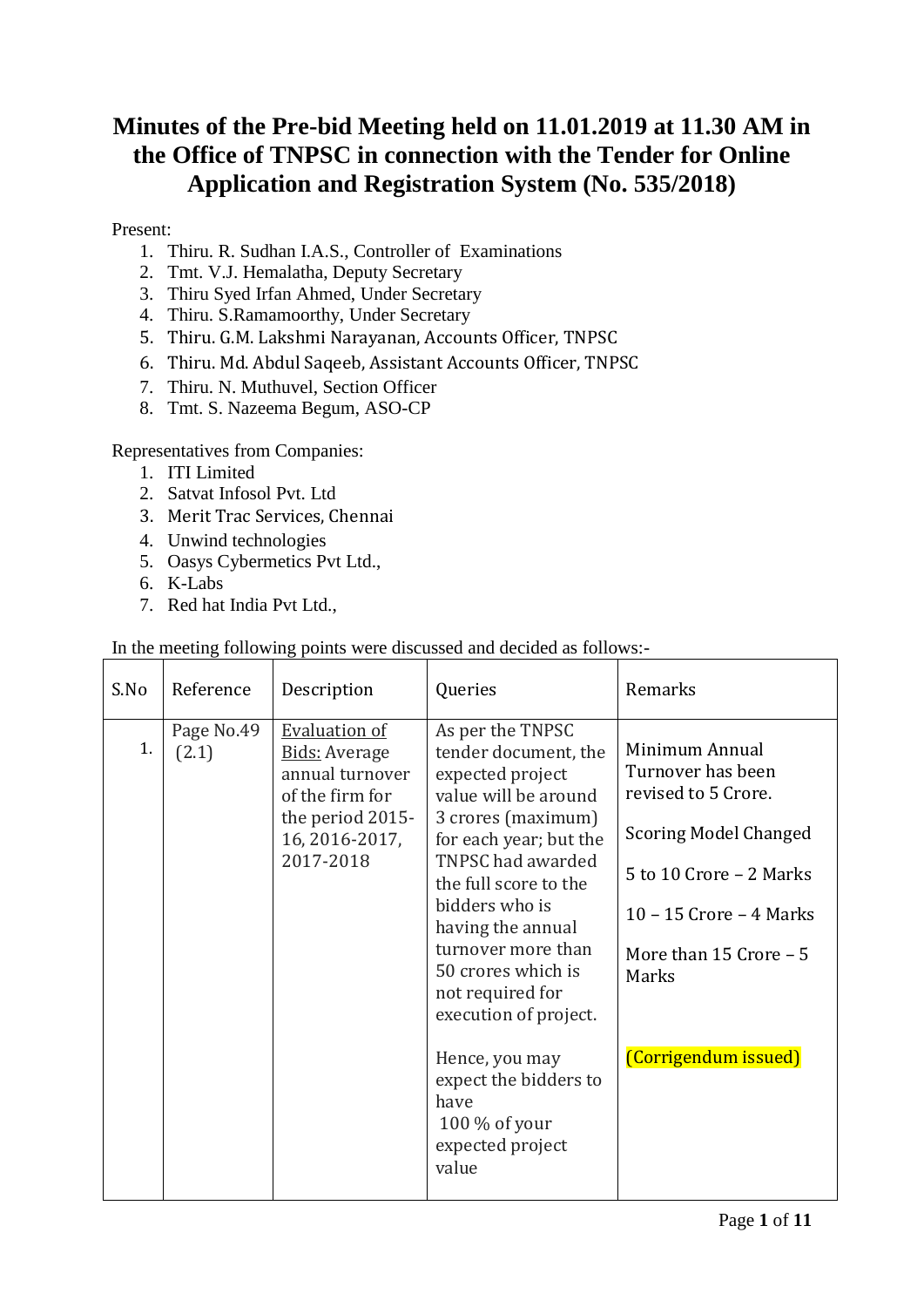### **Minutes of the Pre-bid Meeting held on 11.01.2019 at 11.30 AM in the Office of TNPSC in connection with the Tender for Online Application and Registration System (No. 535/2018)**

#### Present:

- 1. Thiru. R. Sudhan I.A.S., Controller of Examinations
- 2. Tmt. V.J. Hemalatha, Deputy Secretary
- 3. Thiru Syed Irfan Ahmed, Under Secretary
- 4. Thiru. S.Ramamoorthy, Under Secretary
- 5. Thiru. G.M. Lakshmi Narayanan, Accounts Officer, TNPSC
- 6. Thiru. Md. Abdul Saqeeb, Assistant Accounts Officer, TNPSC
- 7. Thiru. N. Muthuvel, Section Officer
- 8. Tmt. S. Nazeema Begum, ASO-CP

#### Representatives from Companies:

- 1. ITI Limited
- 2. Satvat Infosol Pvt. Ltd
- 3. Merit Trac Services, Chennai
- 4. Unwind technologies
- 5. Oasys Cybermetics Pvt Ltd.,
- 6. K-Labs
- 7. Red hat India Pvt Ltd.,

| S.No | Reference           | Description                                                                                                                           | Queries                                                                                                                                                                                                                                                                                                            | Remarks                                                                                                                                                                                |
|------|---------------------|---------------------------------------------------------------------------------------------------------------------------------------|--------------------------------------------------------------------------------------------------------------------------------------------------------------------------------------------------------------------------------------------------------------------------------------------------------------------|----------------------------------------------------------------------------------------------------------------------------------------------------------------------------------------|
| 1.   | Page No.49<br>(2.1) | <b>Evaluation of</b><br><b>Bids: Average</b><br>annual turnover<br>of the firm for<br>the period 2015-<br>16, 2016-2017,<br>2017-2018 | As per the TNPSC<br>tender document, the<br>expected project<br>value will be around<br>3 crores (maximum)<br>for each year; but the<br>TNPSC had awarded<br>the full score to the<br>bidders who is<br>having the annual<br>turnover more than<br>50 crores which is<br>not required for<br>execution of project. | Minimum Annual<br>Turnover has been<br>revised to 5 Crore.<br><b>Scoring Model Changed</b><br>5 to 10 Crore - 2 Marks<br>10 – 15 Crore – 4 Marks<br>More than $15$ Crore $-5$<br>Marks |
|      |                     |                                                                                                                                       | Hence, you may<br>expect the bidders to<br>have<br>$100\%$ of your<br>expected project<br>value                                                                                                                                                                                                                    | (Corrigendum issued)                                                                                                                                                                   |

In the meeting following points were discussed and decided as follows:-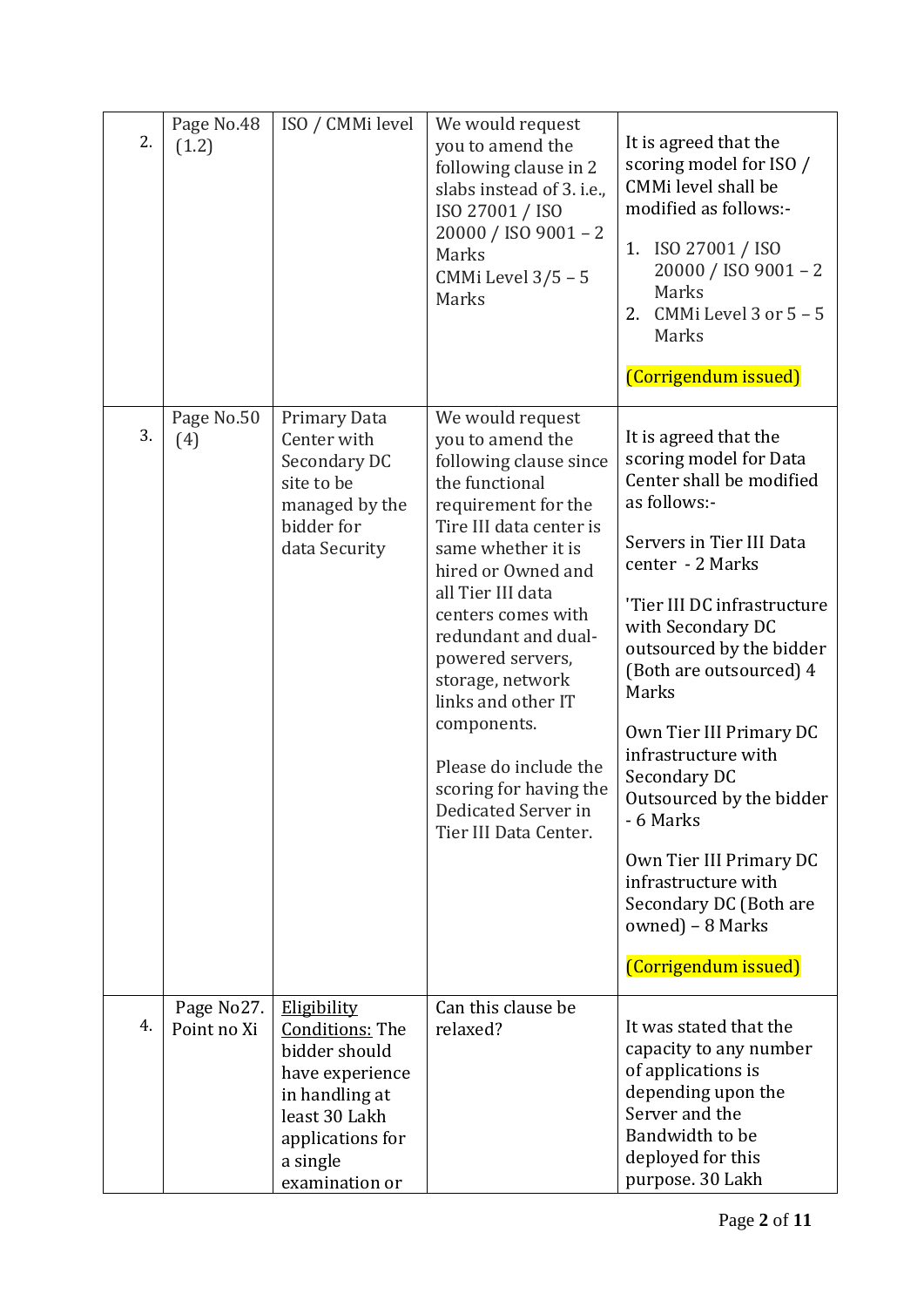| 2. | Page No.48<br>(1.2)       | ISO / CMMi level                                                                                                                                                      | We would request<br>you to amend the<br>following clause in 2<br>slabs instead of 3. i.e.,<br>ISO 27001 / ISO<br>20000 / ISO 9001 - 2<br>Marks<br>CMMi Level $3/5 - 5$<br>Marks                                                                                                                                                                                                                                                  | It is agreed that the<br>scoring model for ISO /<br>CMMi level shall be<br>modified as follows:-<br>1. ISO 27001 / ISO<br>20000 / ISO 9001 - 2<br>Marks<br>CMMi Level 3 or $5 - 5$<br>2.<br>Marks<br>(Corrigendum issued)                                                                                                                                                                                                                                                                          |
|----|---------------------------|-----------------------------------------------------------------------------------------------------------------------------------------------------------------------|----------------------------------------------------------------------------------------------------------------------------------------------------------------------------------------------------------------------------------------------------------------------------------------------------------------------------------------------------------------------------------------------------------------------------------|----------------------------------------------------------------------------------------------------------------------------------------------------------------------------------------------------------------------------------------------------------------------------------------------------------------------------------------------------------------------------------------------------------------------------------------------------------------------------------------------------|
| 3. | Page No.50<br>(4)         | Primary Data<br>Center with<br>Secondary DC<br>site to be<br>managed by the<br>bidder for<br>data Security                                                            | We would request<br>you to amend the<br>following clause since<br>the functional<br>requirement for the<br>Tire III data center is<br>same whether it is<br>hired or Owned and<br>all Tier III data<br>centers comes with<br>redundant and dual-<br>powered servers,<br>storage, network<br>links and other IT<br>components.<br>Please do include the<br>scoring for having the<br>Dedicated Server in<br>Tier III Data Center. | It is agreed that the<br>scoring model for Data<br>Center shall be modified<br>as follows:-<br>Servers in Tier III Data<br>center - 2 Marks<br>'Tier III DC infrastructure<br>with Secondary DC<br>outsourced by the bidder<br>(Both are outsourced) 4<br>Marks<br>Own Tier III Primary DC<br>infrastructure with<br>Secondary DC<br>Outsourced by the bidder<br>- 6 Marks<br>Own Tier III Primary DC<br>infrastructure with<br>Secondary DC (Both are<br>owned) - 8 Marks<br>(Corrigendum issued) |
| 4. | Page No27.<br>Point no Xi | <b>Eligibility</b><br><b>Conditions: The</b><br>bidder should<br>have experience<br>in handling at<br>least 30 Lakh<br>applications for<br>a single<br>examination or | Can this clause be<br>relaxed?                                                                                                                                                                                                                                                                                                                                                                                                   | It was stated that the<br>capacity to any number<br>of applications is<br>depending upon the<br>Server and the<br>Bandwidth to be<br>deployed for this<br>purpose. 30 Lakh                                                                                                                                                                                                                                                                                                                         |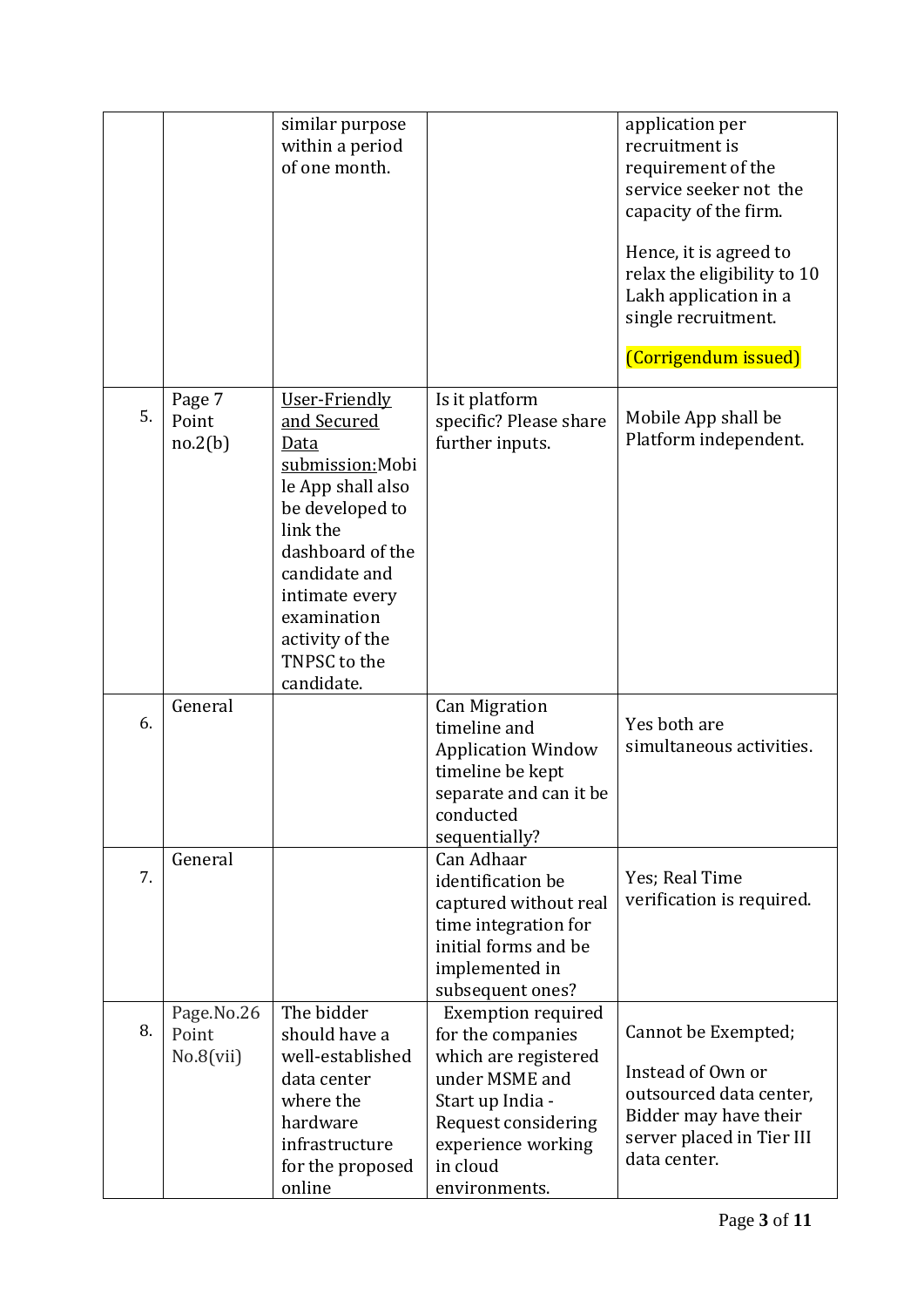|    |                                  | similar purpose<br>within a period<br>of one month.                                                                                                                                                                                 |                                                                                                                                                                                        | application per<br>recruitment is<br>requirement of the<br>service seeker not the<br>capacity of the firm.<br>Hence, it is agreed to<br>relax the eligibility to 10<br>Lakh application in a<br>single recruitment.<br>(Corrigendum issued) |
|----|----------------------------------|-------------------------------------------------------------------------------------------------------------------------------------------------------------------------------------------------------------------------------------|----------------------------------------------------------------------------------------------------------------------------------------------------------------------------------------|---------------------------------------------------------------------------------------------------------------------------------------------------------------------------------------------------------------------------------------------|
| 5. | Page 7<br>Point<br>no.2(b)       | User-Friendly<br>and Secured<br>Data<br>submission: Mobi<br>le App shall also<br>be developed to<br>link the<br>dashboard of the<br>candidate and<br>intimate every<br>examination<br>activity of the<br>TNPSC to the<br>candidate. | Is it platform<br>specific? Please share<br>further inputs.                                                                                                                            | Mobile App shall be<br>Platform independent.                                                                                                                                                                                                |
| 6. | General                          |                                                                                                                                                                                                                                     | <b>Can Migration</b><br>timeline and<br><b>Application Window</b><br>timeline be kept<br>separate and can it be<br>conducted<br>sequentially?                                          | Yes both are<br>simultaneous activities.                                                                                                                                                                                                    |
| 7. | General                          |                                                                                                                                                                                                                                     | Can Adhaar<br>identification be<br>captured without real<br>time integration for<br>initial forms and be<br>implemented in<br>subsequent ones?                                         | Yes; Real Time<br>verification is required.                                                                                                                                                                                                 |
| 8. | Page.No.26<br>Point<br>No.8(vii) | The bidder<br>should have a<br>well-established<br>data center<br>where the<br>hardware<br>infrastructure<br>for the proposed<br>online                                                                                             | <b>Exemption required</b><br>for the companies<br>which are registered<br>under MSME and<br>Start up India -<br>Request considering<br>experience working<br>in cloud<br>environments. | Cannot be Exempted;<br>Instead of Own or<br>outsourced data center,<br>Bidder may have their<br>server placed in Tier III<br>data center.                                                                                                   |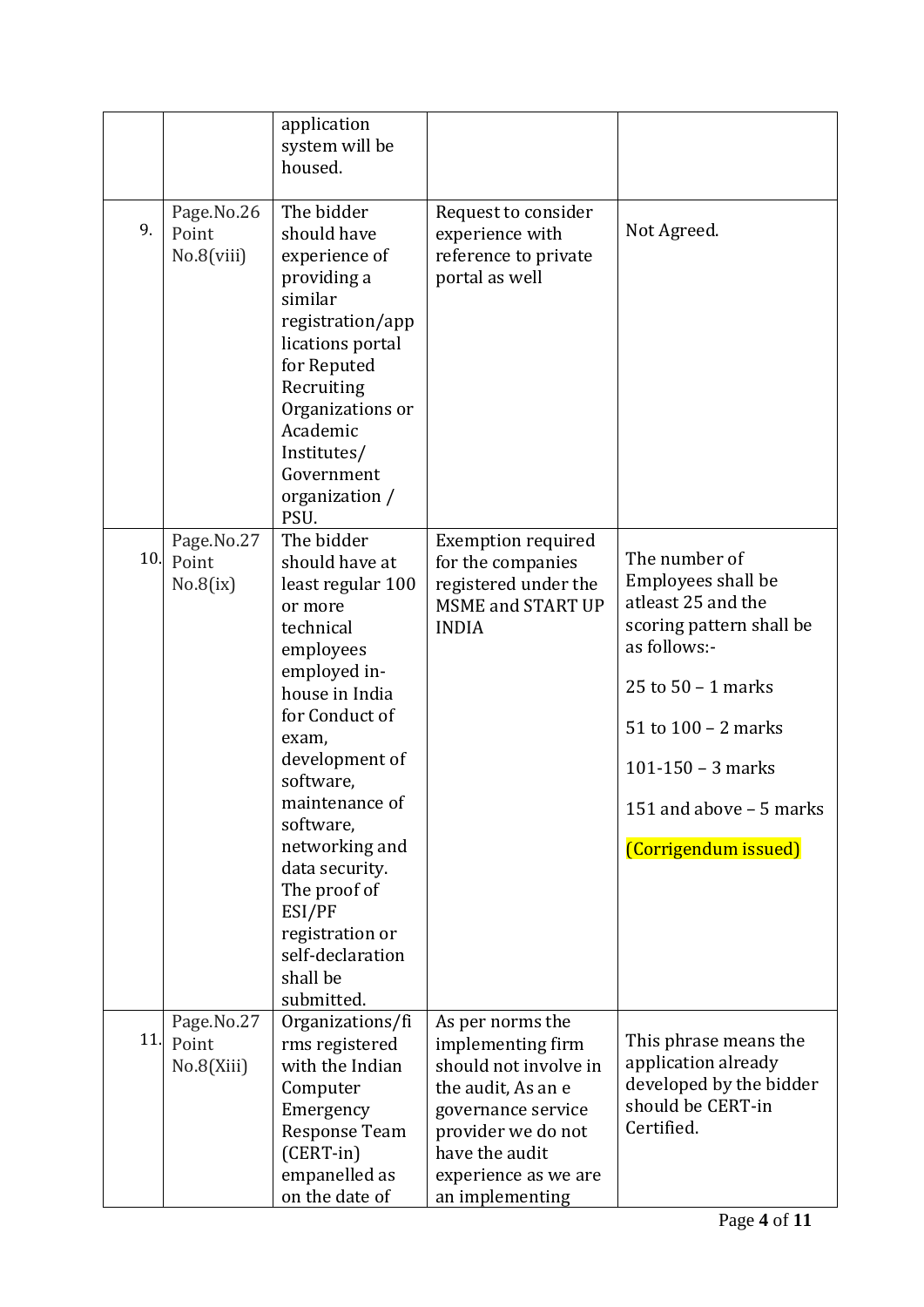|     |                                   | application<br>system will be<br>housed.                                                                                                                                                                                                                                                                                                         |                                                                                                                                                                                               |                                                                                                                                                                                                                                |
|-----|-----------------------------------|--------------------------------------------------------------------------------------------------------------------------------------------------------------------------------------------------------------------------------------------------------------------------------------------------------------------------------------------------|-----------------------------------------------------------------------------------------------------------------------------------------------------------------------------------------------|--------------------------------------------------------------------------------------------------------------------------------------------------------------------------------------------------------------------------------|
| 9.  | Page.No.26<br>Point<br>No.8(viii) | The bidder<br>should have<br>experience of<br>providing a<br>similar<br>registration/app<br>lications portal<br>for Reputed<br>Recruiting<br>Organizations or<br>Academic<br>Institutes/<br>Government<br>organization /<br>PSU.                                                                                                                 | Request to consider<br>experience with<br>reference to private<br>portal as well                                                                                                              | Not Agreed.                                                                                                                                                                                                                    |
| 10. | Page.No.27<br>Point<br>No.8(ix)   | The bidder<br>should have at<br>least regular 100<br>or more<br>technical<br>employees<br>employed in-<br>house in India<br>for Conduct of<br>exam,<br>development of<br>software,<br>maintenance of<br>software,<br>networking and<br>data security.<br>The proof of<br>ESI/PF<br>registration or<br>self-declaration<br>shall be<br>submitted. | <b>Exemption required</b><br>for the companies<br>registered under the<br><b>MSME and START UP</b><br><b>INDIA</b>                                                                            | The number of<br>Employees shall be<br>atleast 25 and the<br>scoring pattern shall be<br>as follows:-<br>25 to $50 - 1$ marks<br>51 to $100 - 2$ marks<br>101-150 - 3 marks<br>151 and above - 5 marks<br>(Corrigendum issued) |
| 11. | Page.No.27<br>Point<br>No.8(Xiii) | Organizations/fi<br>rms registered<br>with the Indian<br>Computer<br>Emergency<br><b>Response Team</b><br>$(CENT-in)$<br>empanelled as<br>on the date of                                                                                                                                                                                         | As per norms the<br>implementing firm<br>should not involve in<br>the audit, As an e<br>governance service<br>provider we do not<br>have the audit<br>experience as we are<br>an implementing | This phrase means the<br>application already<br>developed by the bidder<br>should be CERT-in<br>Certified.                                                                                                                     |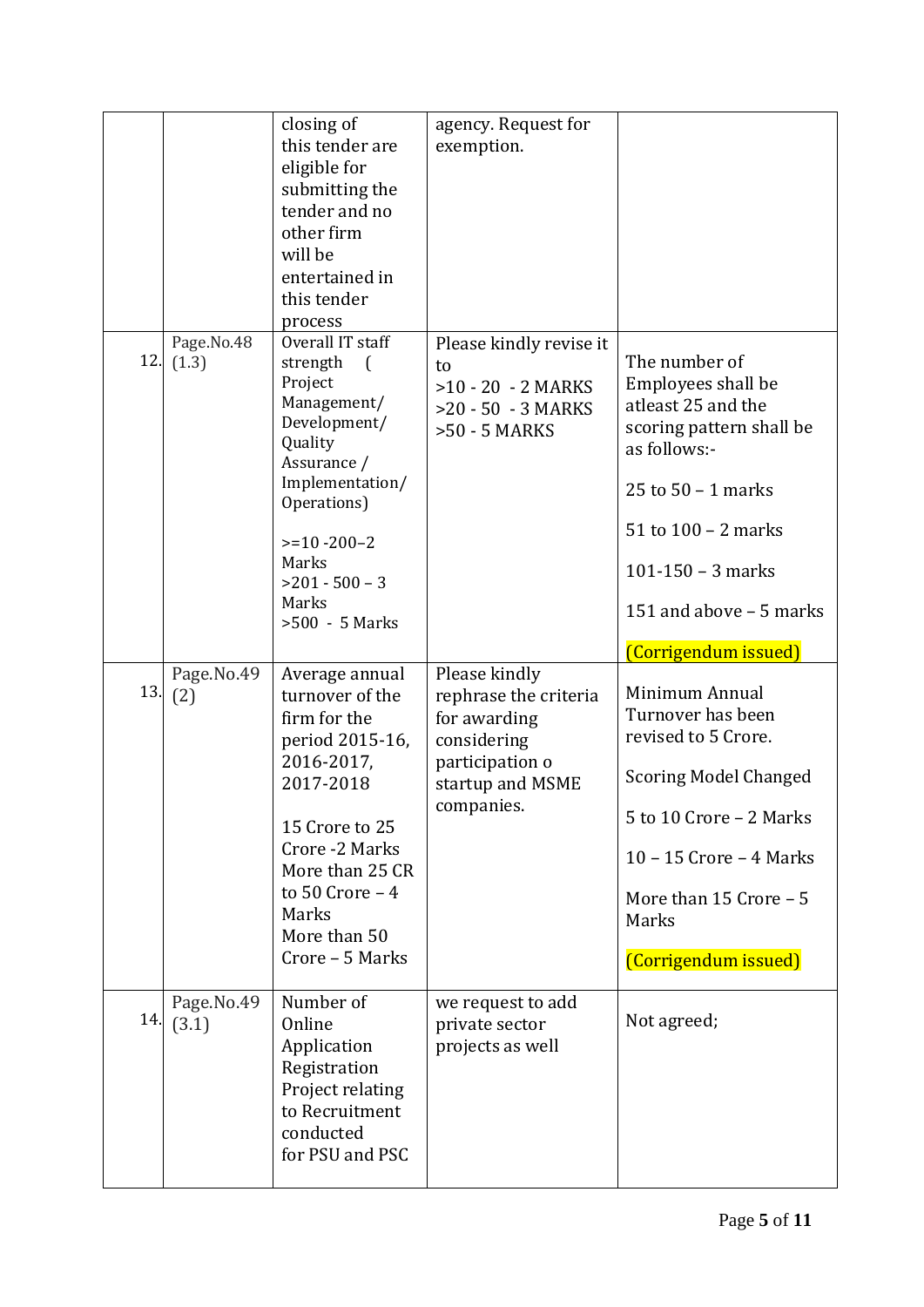|     |                         | closing of<br>this tender are<br>eligible for<br>submitting the<br>tender and no<br>other firm<br>will be<br>entertained in<br>this tender<br>process                                                                        | agency. Request for<br>exemption.                                                                                          |                                                                                                                                                                                                                                |
|-----|-------------------------|------------------------------------------------------------------------------------------------------------------------------------------------------------------------------------------------------------------------------|----------------------------------------------------------------------------------------------------------------------------|--------------------------------------------------------------------------------------------------------------------------------------------------------------------------------------------------------------------------------|
|     | Page.No.48<br>12. (1.3) | Overall IT staff<br>strength<br>$\left($<br>Project<br>Management/<br>Development/<br>Quality<br>Assurance /<br>Implementation/<br>Operations)<br>$>=10 - 200 - 2$<br>Marks<br>$>201 - 500 - 3$<br>Marks<br>$>500 - 5$ Marks | Please kindly revise it<br>to<br>$>10 - 20 - 2$ MARKS<br>$>20 - 50 - 3$ MARKS<br>>50 - 5 MARKS                             | The number of<br>Employees shall be<br>atleast 25 and the<br>scoring pattern shall be<br>as follows:-<br>25 to $50 - 1$ marks<br>51 to $100 - 2$ marks<br>101-150 - 3 marks<br>151 and above - 5 marks<br>(Corrigendum issued) |
| 13. | Page.No.49<br>(2)       | Average annual<br>turnover of the<br>firm for the<br>period 2015-16,<br>2016-2017,<br>2017-2018<br>15 Crore to 25<br>Crore -2 Marks<br>More than 25 CR<br>to $50$ Crore $-4$<br>Marks<br>More than 50<br>Crore - 5 Marks     | Please kindly<br>rephrase the criteria<br>for awarding<br>considering<br>participation o<br>startup and MSME<br>companies. | Minimum Annual<br>Turnover has been<br>revised to 5 Crore.<br><b>Scoring Model Changed</b><br>5 to 10 Crore - 2 Marks<br>$10 - 15$ Crore $-4$ Marks<br>More than $15$ Crore $-5$<br>Marks<br>(Corrigendum issued)              |
| 14. | Page.No.49              | Number of                                                                                                                                                                                                                    | we request to add                                                                                                          |                                                                                                                                                                                                                                |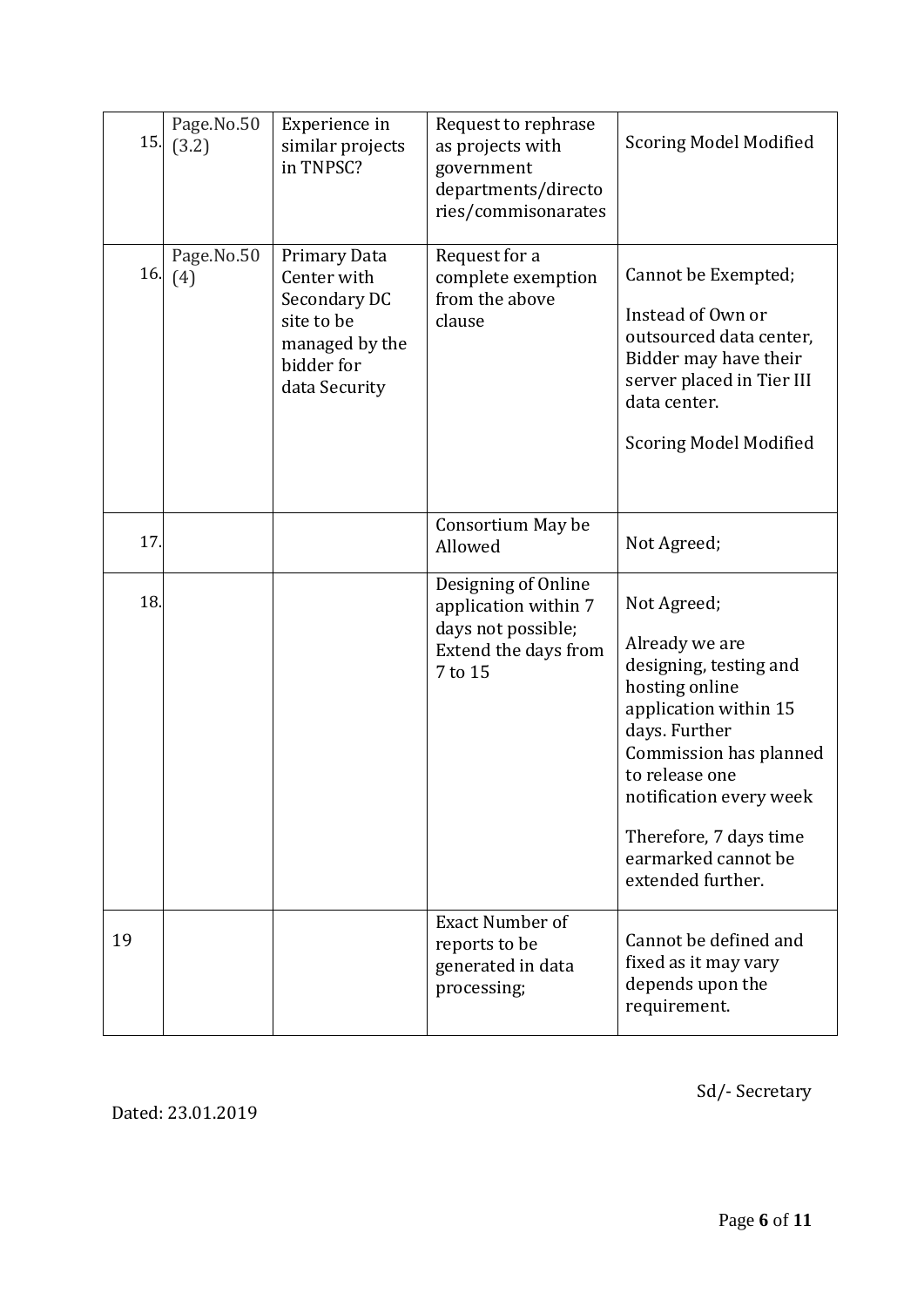| 15. | Page.No.50<br>(3.2) | Experience in<br>similar projects<br>in TNPSC?                                                             | Request to rephrase<br>as projects with<br>government<br>departments/directo<br>ries/commisonarates  | <b>Scoring Model Modified</b>                                                                                                                                                                                                                                    |
|-----|---------------------|------------------------------------------------------------------------------------------------------------|------------------------------------------------------------------------------------------------------|------------------------------------------------------------------------------------------------------------------------------------------------------------------------------------------------------------------------------------------------------------------|
| 16. | Page.No.50<br>(4)   | Primary Data<br>Center with<br>Secondary DC<br>site to be<br>managed by the<br>bidder for<br>data Security | Request for a<br>complete exemption<br>from the above<br>clause                                      | Cannot be Exempted;<br>Instead of Own or<br>outsourced data center,<br>Bidder may have their<br>server placed in Tier III<br>data center.<br><b>Scoring Model Modified</b>                                                                                       |
| 17. |                     |                                                                                                            | Consortium May be<br>Allowed                                                                         | Not Agreed;                                                                                                                                                                                                                                                      |
| 18. |                     |                                                                                                            | Designing of Online<br>application within 7<br>days not possible;<br>Extend the days from<br>7 to 15 | Not Agreed;<br>Already we are<br>designing, testing and<br>hosting online<br>application within 15<br>days. Further<br>Commission has planned<br>to release one<br>notification every week<br>Therefore, 7 days time<br>earmarked cannot be<br>extended further. |
| 19  |                     |                                                                                                            | <b>Exact Number of</b><br>reports to be<br>generated in data<br>processing;                          | Cannot be defined and<br>fixed as it may vary<br>depends upon the<br>requirement.                                                                                                                                                                                |

Dated: 23.01.2019

Sd/- Secretary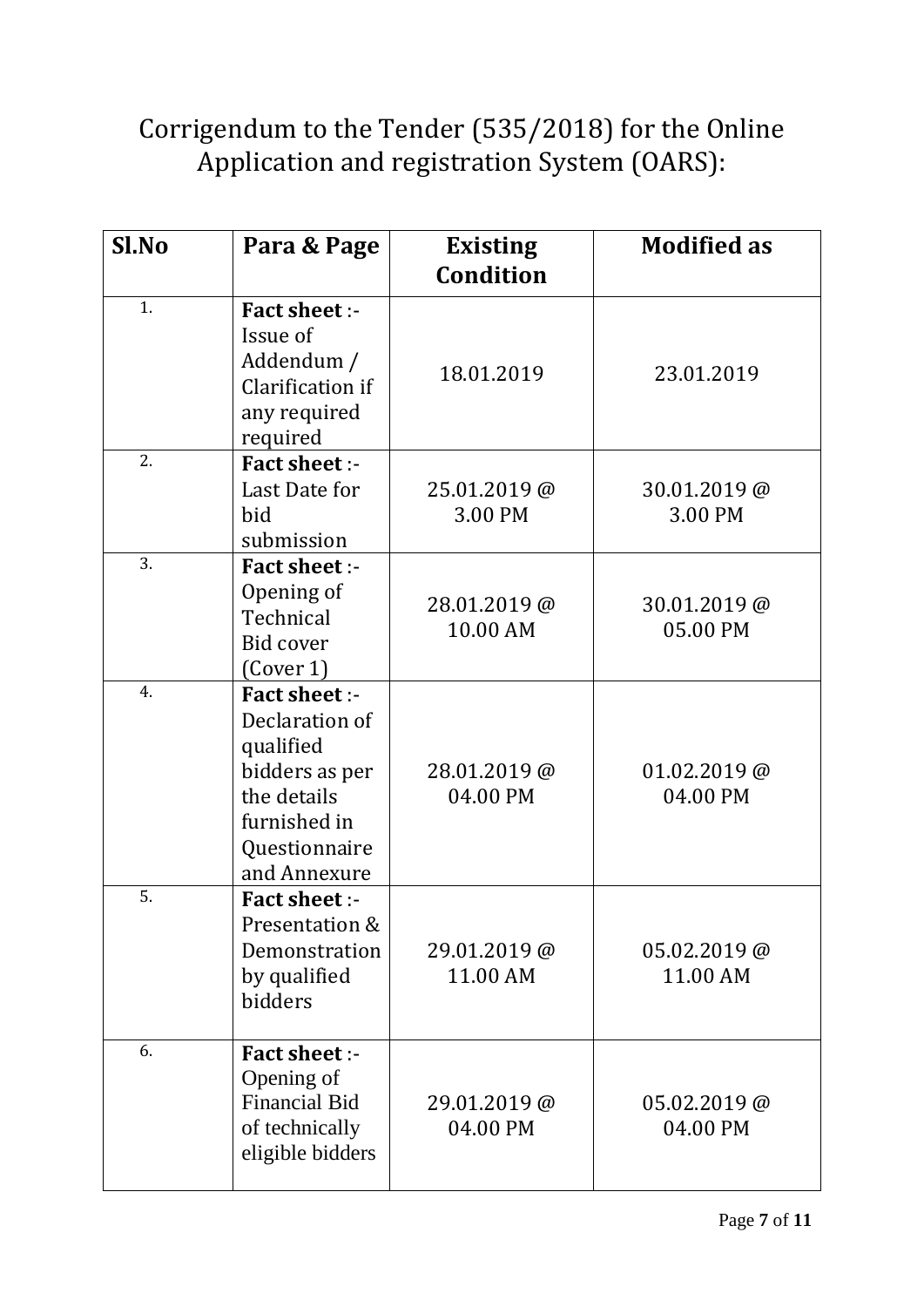# Corrigendum to the Tender (535/2018) for the Online Application and registration System (OARS):

| Sl.No | Para & Page                                                                                                                           | <b>Existing</b><br><b>Condition</b> | <b>Modified as</b>         |
|-------|---------------------------------------------------------------------------------------------------------------------------------------|-------------------------------------|----------------------------|
| 1.    | <b>Fact sheet :-</b><br>Issue of<br>Addendum /<br>Clarification if<br>any required<br>required                                        | 18.01.2019                          | 23.01.2019                 |
| 2.    | <b>Fact sheet :-</b><br>Last Date for<br>bid<br>submission                                                                            | 25.01.2019@<br>3.00 PM              | 30.01.2019@<br>3.00 PM     |
| 3.    | <b>Fact sheet :-</b><br>Opening of<br>Technical<br>Bid cover<br>$\left(\text{Cover } 1\right)$                                        | 28.01.2019@<br>10.00 AM             | 30.01.2019@<br>05.00 PM    |
| 4.    | <b>Fact sheet :-</b><br>Declaration of<br>qualified<br>bidders as per<br>the details<br>furnished in<br>Questionnaire<br>and Annexure | 28.01.2019@<br>04.00 PM             | $01.02.2019$ @<br>04.00 PM |
| 5.    | <b>Fact sheet :-</b><br>Presentation &<br>Demonstration<br>by qualified<br>bidders                                                    | 29.01.2019@<br>11.00 AM             | $05.02.2019$ @<br>11.00 AM |
| 6.    | <b>Fact sheet :-</b><br>Opening of<br><b>Financial Bid</b><br>of technically<br>eligible bidders                                      | 29.01.2019@<br>04.00 PM             | $05.02.2019$ @<br>04.00 PM |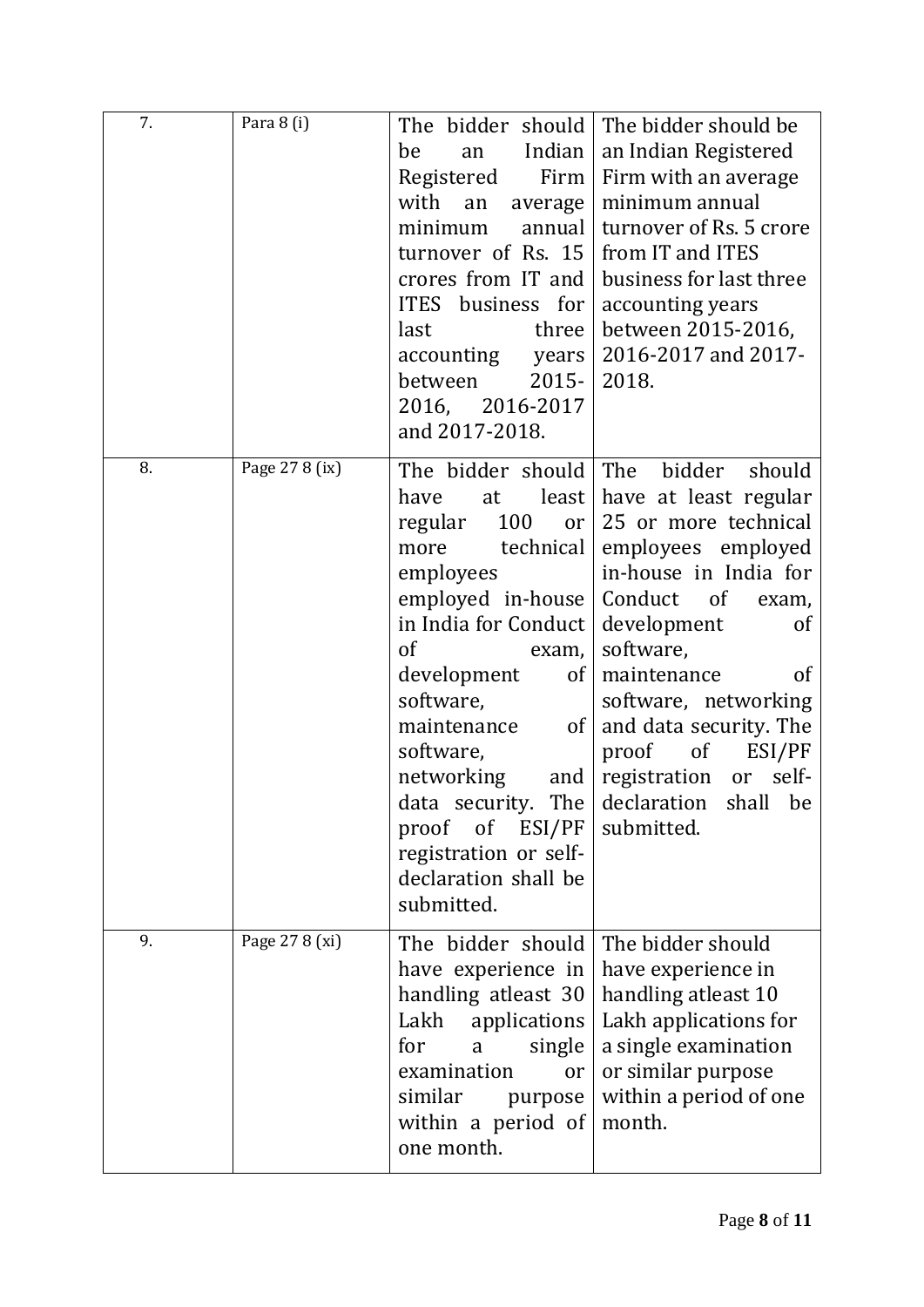| 7. | Para 8 (i)     | The bidder should<br>Indian<br>be<br>an<br>Registered<br>Firm<br>with<br>an<br>average<br>minimum<br>annual<br>turnover of Rs. 15<br>crores from IT and<br>ITES business for<br>three<br>last<br>accounting years<br>$2015 -$<br>between<br>2016, 2016-2017<br>and 2017-2018.                                                                                                           | The bidder should be<br>an Indian Registered<br>Firm with an average<br>minimum annual<br>turnover of Rs. 5 crore<br>from IT and ITES<br>business for last three<br>accounting years<br>between 2015-2016,<br>2016-2017 and 2017-<br>2018.                                                                                                                              |
|----|----------------|-----------------------------------------------------------------------------------------------------------------------------------------------------------------------------------------------------------------------------------------------------------------------------------------------------------------------------------------------------------------------------------------|-------------------------------------------------------------------------------------------------------------------------------------------------------------------------------------------------------------------------------------------------------------------------------------------------------------------------------------------------------------------------|
| 8. | Page 27 8 (ix) | The bidder should The bidder<br>have<br>least<br>at<br>100<br>regular<br>or  <br>more<br>  technical<br>employees<br>employed in-house<br>in India for Conduct<br><sub>of</sub><br>exam,<br>development<br>of <sub>1</sub><br>software,<br>maintenance<br>$\left  \right $<br>software,<br>networking<br>proof of ESI/PF<br>registration or self-<br>declaration shall be<br>submitted. | should<br>have at least regular<br>25 or more technical<br>employees employed<br>in-house in India for<br>Conduct of<br>exam,<br>development<br><sub>of</sub><br>software,<br>maintenance<br>of<br>software, networking<br>and data security. The<br>proof of<br>ESI/PF<br>and $ $ registration<br>self-<br>or<br>data security. The declaration shall be<br>submitted. |
| 9. | Page 27 8 (xi) | The bidder should<br>have experience in<br>handling atleast 30<br>Lakh applications<br>for<br>single<br>a<br>examination<br><sub>or</sub><br>similar<br>purpose<br>within a period of<br>one month.                                                                                                                                                                                     | The bidder should<br>have experience in<br>handling atleast 10<br>Lakh applications for<br>a single examination<br>or similar purpose<br>within a period of one<br>month.                                                                                                                                                                                               |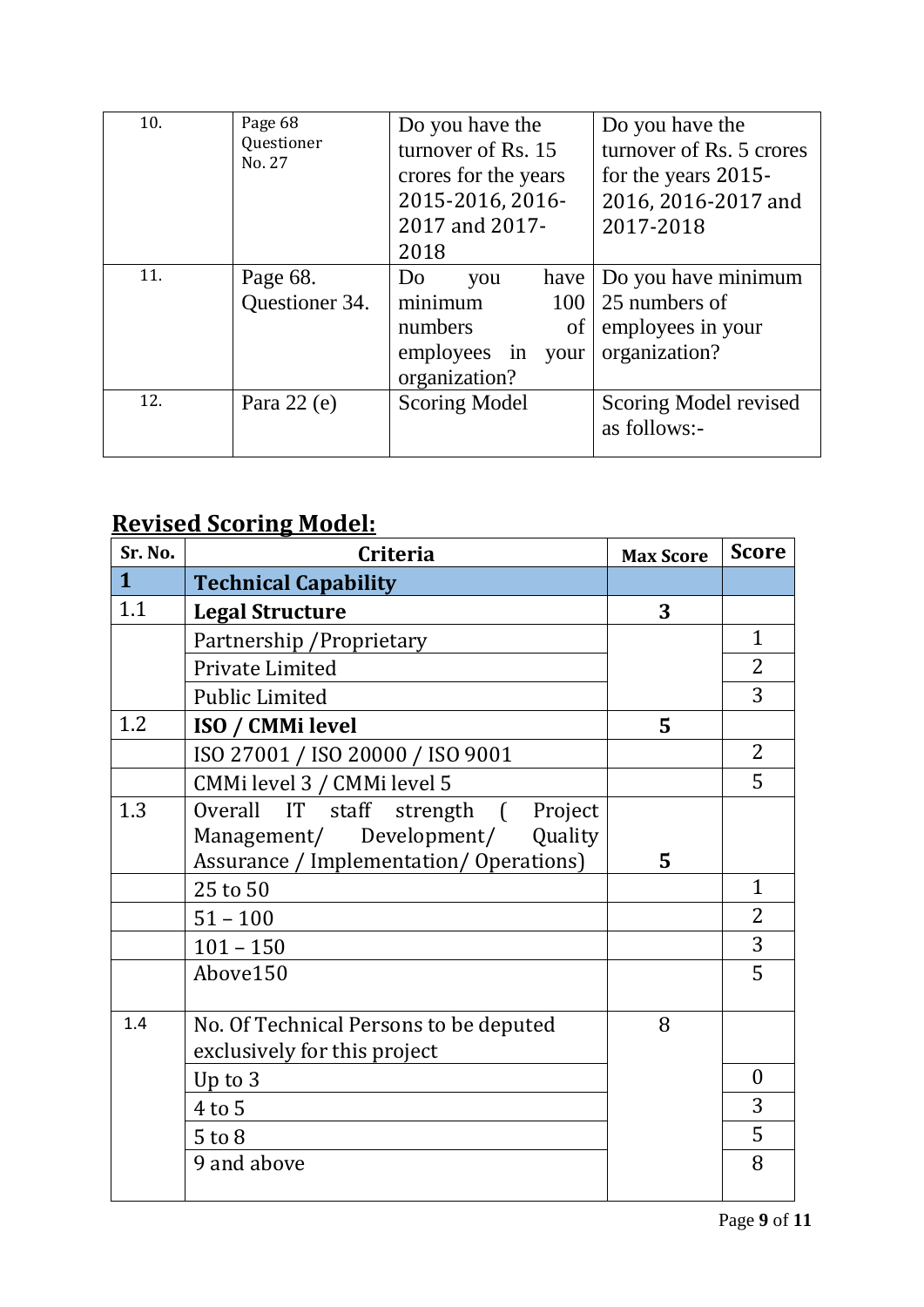| 10. | Page 68<br>Questioner<br>No. 27 | Do you have the<br>turnover of Rs. 15<br>crores for the years<br>2015-2016, 2016-<br>2017 and 2017-<br>2018 | Do you have the<br>turnover of Rs. 5 crores<br>for the years 2015-<br>2016, 2016-2017 and<br>2017-2018 |
|-----|---------------------------------|-------------------------------------------------------------------------------------------------------------|--------------------------------------------------------------------------------------------------------|
| 11. | Page 68.<br>Questioner 34.      | Do<br>have  <br>you<br>minimum<br>$\sigma$<br>numbers<br>employees in<br>your<br>organization?              | Do you have minimum<br>$100 \mid 25$ numbers of<br>employees in your<br>organization?                  |
| 12. | Para $22(e)$                    | Scoring Model                                                                                               | Scoring Model revised<br>as follows:-                                                                  |

## **Revised Scoring Model:**

| Sr. No.      | <b>Criteria</b>                         | <b>Max Score</b> | <b>Score</b>   |
|--------------|-----------------------------------------|------------------|----------------|
| $\mathbf{1}$ | <b>Technical Capability</b>             |                  |                |
| 1.1          | <b>Legal Structure</b>                  | 3                |                |
|              | Partnership / Proprietary               |                  | 1              |
|              | Private Limited                         |                  | $\overline{2}$ |
|              | <b>Public Limited</b>                   |                  | 3              |
| 1.2          | <b>ISO / CMMi level</b>                 | 5                |                |
|              | ISO 27001 / ISO 20000 / ISO 9001        |                  | 2              |
|              | CMMi level 3 / CMMi level 5             |                  | 5              |
| 1.3          | Overall IT staff strength (<br>Project  |                  |                |
|              | Management/ Development/<br>Quality     |                  |                |
|              | Assurance / Implementation/ Operations) | 5                |                |
|              | 25 to 50                                |                  | $\mathbf{1}$   |
|              | $51 - 100$                              |                  | 2              |
|              | $101 - 150$                             |                  | 3              |
|              | Above150                                |                  | 5              |
|              |                                         |                  |                |
| 1.4          | No. Of Technical Persons to be deputed  | 8                |                |
|              | exclusively for this project            |                  |                |
|              | Up to 3                                 |                  | $\overline{0}$ |
|              | $4$ to $5$                              |                  | 3              |
|              | $5$ to $8$                              |                  | 5              |
|              | 9 and above                             |                  | 8              |
|              |                                         |                  |                |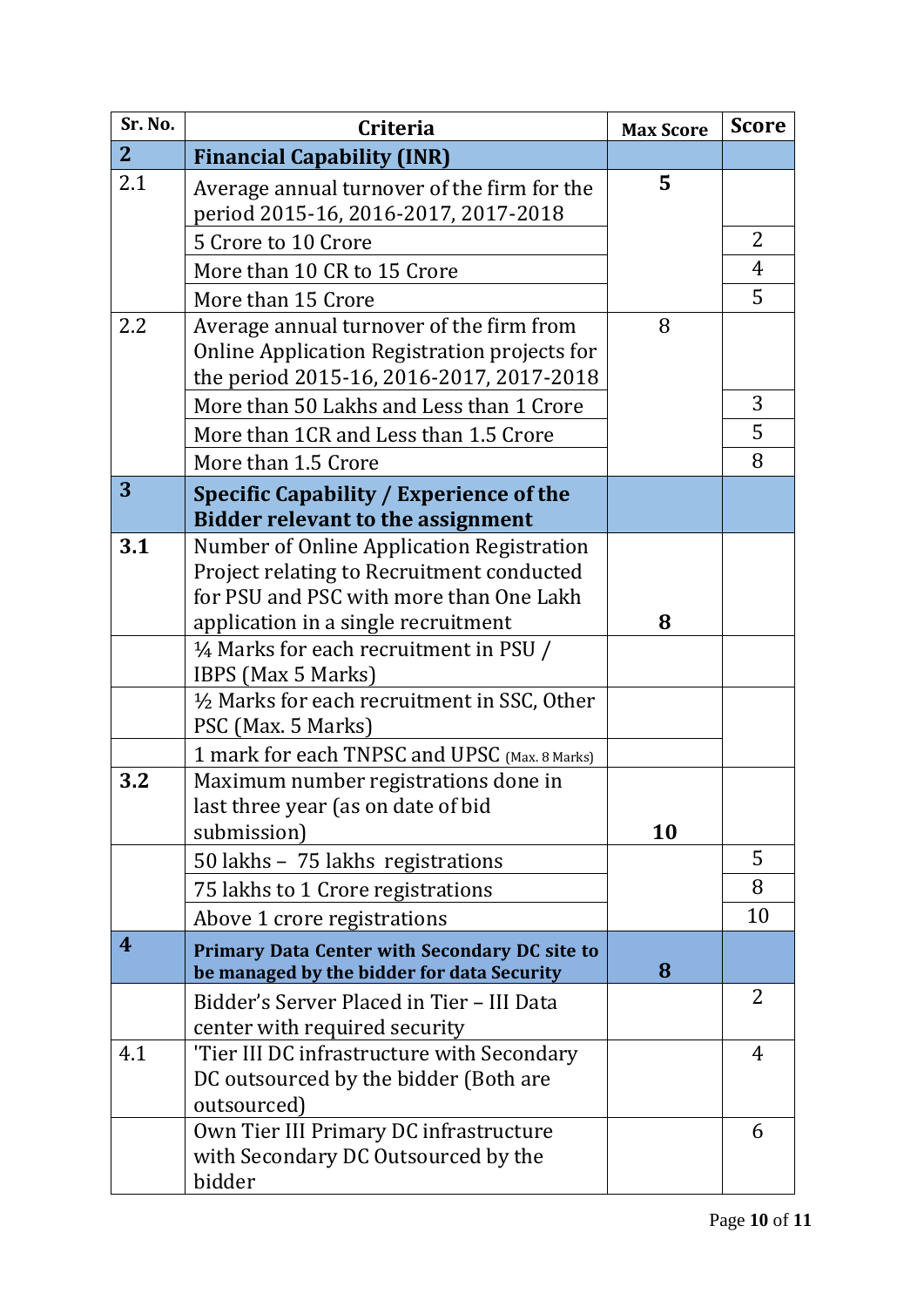| Sr. No.        | <b>Criteria</b>                                                                       | <b>Max Score</b> | <b>Score</b>   |
|----------------|---------------------------------------------------------------------------------------|------------------|----------------|
| 2 <sup>1</sup> | <b>Financial Capability (INR)</b>                                                     |                  |                |
| 2.1            | Average annual turnover of the firm for the                                           | 5                |                |
|                | period 2015-16, 2016-2017, 2017-2018                                                  |                  |                |
|                | 5 Crore to 10 Crore                                                                   |                  | 2              |
|                | More than 10 CR to 15 Crore                                                           |                  | 4              |
|                | More than 15 Crore                                                                    |                  | 5              |
| 2.2            | Average annual turnover of the firm from                                              | 8                |                |
|                | Online Application Registration projects for                                          |                  |                |
|                | the period 2015-16, 2016-2017, 2017-2018                                              |                  |                |
|                | More than 50 Lakhs and Less than 1 Crore                                              |                  | 3              |
|                | More than 1CR and Less than 1.5 Crore                                                 |                  | 5              |
|                | More than 1.5 Crore                                                                   |                  | 8              |
| 3              | Specific Capability / Experience of the                                               |                  |                |
|                | <b>Bidder relevant to the assignment</b>                                              |                  |                |
| 3.1            | Number of Online Application Registration                                             |                  |                |
|                | Project relating to Recruitment conducted                                             |                  |                |
|                | for PSU and PSC with more than One Lakh                                               |                  |                |
|                | application in a single recruitment                                                   | 8                |                |
|                | 1/4 Marks for each recruitment in PSU /                                               |                  |                |
|                | IBPS (Max 5 Marks)                                                                    |                  |                |
|                | 1/2 Marks for each recruitment in SSC, Other<br>PSC (Max. 5 Marks)                    |                  |                |
|                |                                                                                       |                  |                |
| 3.2            | 1 mark for each TNPSC and UPSC (Max. 8 Marks)<br>Maximum number registrations done in |                  |                |
|                | last three year (as on date of bid                                                    |                  |                |
|                | submission)                                                                           | 10               |                |
|                | 50 lakhs - 75 lakhs registrations                                                     |                  | 5              |
|                | 75 lakhs to 1 Crore registrations                                                     |                  | 8              |
|                | Above 1 crore registrations                                                           |                  | 10             |
| 4              | <b>Primary Data Center with Secondary DC site to</b>                                  |                  |                |
|                | be managed by the bidder for data Security                                            | 8                |                |
|                | Bidder's Server Placed in Tier - III Data                                             |                  | $\overline{2}$ |
|                | center with required security                                                         |                  |                |
| 4.1            | 'Tier III DC infrastructure with Secondary                                            |                  | 4              |
|                | DC outsourced by the bidder (Both are                                                 |                  |                |
|                | outsourced)                                                                           |                  |                |
|                | Own Tier III Primary DC infrastructure                                                |                  | 6              |
|                | with Secondary DC Outsourced by the                                                   |                  |                |
|                | bidder                                                                                |                  |                |